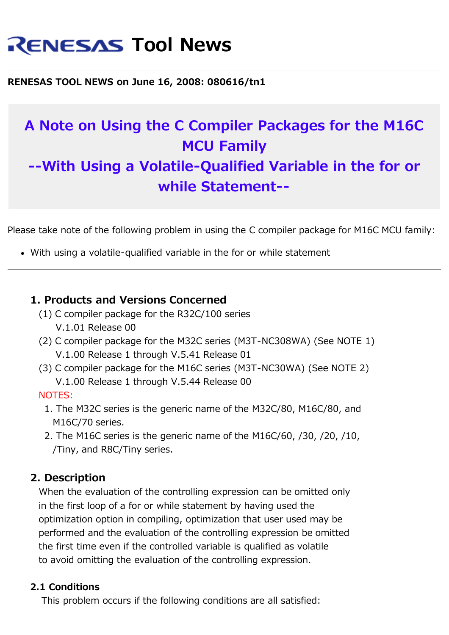# **RENESAS Tool News**

**RENESAS TOOL NEWS on June 16, 2008: 080616/tn1**

# **A Note on Using the C Compiler Packages for the M16C MCU Family --With Using a Volatile-Qualified Variable in the for or while Statement--**

Please take note of the following problem in using the C compiler package for M16C MCU family:

With using a volatile-qualified variable in the for or while statement

## **1. Products and Versions Concerned**

- (1) C compiler package for the R32C/100 series V.1.01 Release 00
- (2) C compiler package for the M32C series (M3T-NC308WA) (See NOTE 1) V.1.00 Release 1 through V.5.41 Release 01
- (3) C compiler package for the M16C series (M3T-NC30WA) (See NOTE 2) V.1.00 Release 1 through V.5.44 Release 00

#### NOTES:

- 1. The M32C series is the generic name of the M32C/80, M16C/80, and M16C/70 series.
- 2. The M16C series is the generic name of the M16C/60, /30, /20, /10, /Tiny, and R8C/Tiny series.

### **2. Description**

 When the evaluation of the controlling expression can be omitted only in the first loop of a for or while statement by having used the optimization option in compiling, optimization that user used may be performed and the evaluation of the controlling expression be omitted the first time even if the controlled variable is qualified as volatile to avoid omitting the evaluation of the controlling expression.

#### **2.1 Conditions**

This problem occurs if the following conditions are all satisfied: